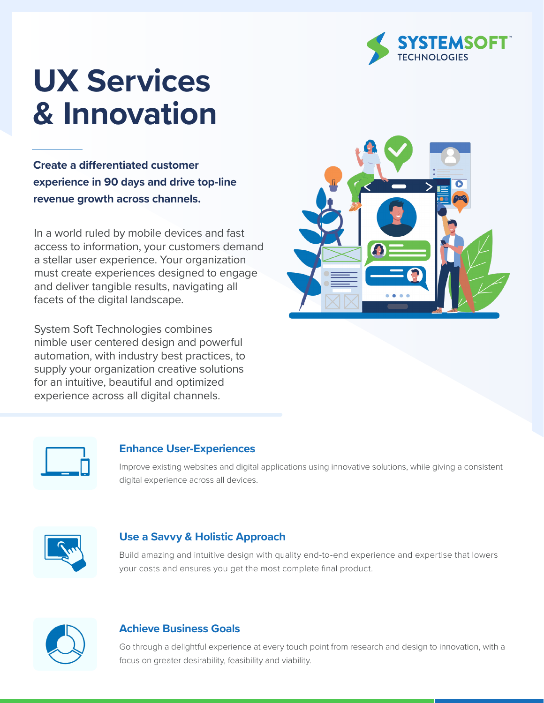

# **UX Services & Innovation**

**Create a differentiated customer experience in 90 days and drive top-line revenue growth across channels.**

In a world ruled by mobile devices and fast access to information, your customers demand a stellar user experience. Your organization must create experiences designed to engage and deliver tangible results, navigating all facets of the digital landscape.

System Soft Technologies combines nimble user centered design and powerful automation, with industry best practices, to supply your organization creative solutions for an intuitive, beautiful and optimized experience across all digital channels.





#### **Enhance User-Experiences**

Improve existing websites and digital applications using innovative solutions, while giving a consistent digital experience across all devices.



#### **Use a Savvy & Holistic Approach**

Build amazing and intuitive design with quality end-to-end experience and expertise that lowers your costs and ensures you get the most complete final product.



#### **Achieve Business Goals**

Go through a delightful experience at every touch point from research and design to innovation, with a focus on greater desirability, feasibility and viability.